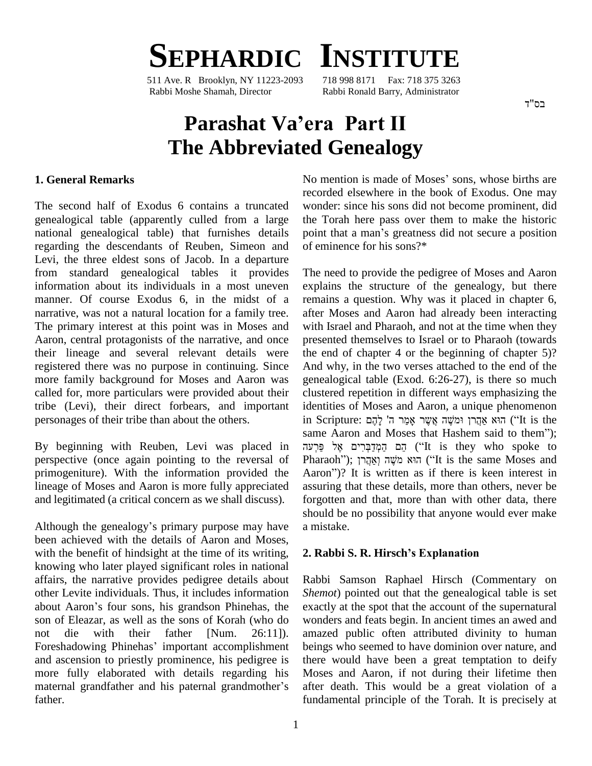

511 Ave. R Brooklyn, NY 11223-2093 Rabbi Moshe Shamah, Director Rabbi Ronald Barry, Administrator

#### בס"ד

# **Parashat Vaíera Part II The Abbreviated Genealogy**

### **1. General Remarks**

The second half of Exodus 6 contains a truncated genealogical table (apparently culled from a large national genealogical table) that furnishes details point that a man's greatness did not secure a position regarding the descendants of Reuben, Simeon and Levi, the three eldest sons of Jacob. In a departure from standard genealogical tables it provides information about its individuals in a most uneven manner. Of course Exodus 6, in the midst of a narrative, was not a natural location for a family tree. The primary interest at this point was in Moses and Aaron, central protagonists of the narrative, and once their lineage and several relevant details were registered there was no purpose in continuing. Since more family background for Moses and Aaron was called for, more particulars were provided about their tribe (Levi), their direct forbears, and important personages of their tribe than about the others.

perspective (once again pointing to the reversal of primogeniture). With the information provided the Aaron")? It is written as if there is keen interest in lineage of Moses and Aaron is more fully appreciated and legitimated (a critical concern as we shall discuss).

Although the genealogy's primary purpose may have been achieved with the details of Aaron and Moses, with the benefit of hindsight at the time of its writing, knowing who later played significant roles in national affairs, the narrative provides pedigree details about Rabbother Levite individuals. Thus, it includes information *Shem* about Aaron's four sons, his grandson Phinehas, the exact other Levite individuals. Thus, it includes information son of Eleazar, as well as the sons of Korah (who do wonder not die with their father [Num. 26:11]). amaze<br>Foreshadowing Phinehas' important accomplishment beings not die with their father [Num. 26:11]). and ascension to priestly prominence, his pedigree is more fully elaborated with details regarding his and ascension to priestly prominence, his pedigree is there more fully elaborated with details regarding his Mos<br>maternal grandfather and his paternal grandmother's after father.

No mention is made of Moses' sons, whose births are recorded elsewhere in the book of Exodus. One may wonder: since his sons did not become prominent, did the Torah here pass over them to make the historic wonder: since his sons did not become prominent, did<br>the Torah here pass over them to make the historic<br>point that a man's greatness did not secure a position of eminence for his sons?\*

By beginning with Reuben, Levi was placed in The need to provide the pedigree of Moses and Aaron explains the structure of the genealogy, but there remains a question. Why was it placed in chapter 6, after Moses and Aaron had already been interacting with Israel and Pharaoh, and not at the time when they presented themselves to Israel or to Pharaoh (towards the end of chapter 4 or the beginning of chapter  $5$ ? And why, in the two verses attached to the end of the genealogical table (Exod. 6:26-27), is there so much clustered repetition in different ways emphasizing the ʤidentities of Moses and Aaron, a unique phenomenon clustered repetition in different ways emphasizing the<br>identities of Moses and Aaron, a unique phenomenon<br>in Scripture: הוא אַקֲרן וּמִשֶּׁה אֲשֶׁר אָפַּר ה' לָהֶם ('It is the identities of Moses and Aaron, a unique phenomenon<br>in Scripture: הוא אַהֲרן וּמֹשֶׁה אֲשֶׁר אָמַר ה' לָהֶם<br>it is the same Aaron and Moses that Hashem said to them''); in Scripture: הָא אַהֲרן וּמִשֶּׁה אֲשֶׁר אָמַר ה' לָהָם<br>same Aaron and Moses that Hashem said to them'');<br>הֵם הַמְדַבְּרִים אֶל פַּרְעה ('It is they who spoke to same Aaron and Moses that Hashem said to them");<br>הֵם הַמְדַבְּרִים אֶל פַּרְעֹה ("It is they who spoke to Pharaoh"); הִשְּהֲרֹן ("It is the same Moses and הֵם הַקְּדַבְּרִים אֶל פַּרְעֹה ("It is they who spoke to Pharaoh"); הוא מֹשֶׁה וְאֲהֲרֹן<br>Pharaoh"); הוא מֹשֶׁה וְאֲהֲרֹן ("It is the same Moses and Aaron")? It is written as if there is keen interest in assuring that these details, more than others, never be forgotten and that, more than with other data, there should be no possibility that anyone would ever make a mistake.

#### **2. Rabbi S. R. Hirschís Explanation**

Rabbi Samson Raphael Hirsch (Commentary on *Shemot*) pointed out that the genealogical table is set exactly at the spot that the account of the supernatural wonders and feats begin. In ancient times an awed and amazed public often attributed divinity to human beings who seemed to have dominion over nature, and there would have been a great temptation to deify Moses and Aaron, if not during their lifetime then after death. This would be a great violation of a fundamental principle of the Torah. It is precisely at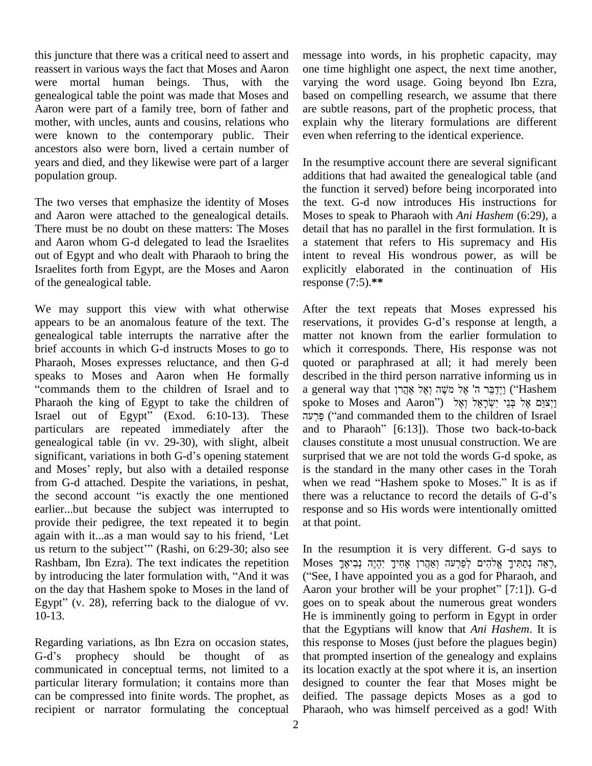this juncture that there was a critical need to assert and reassert in various ways the fact that Moses and Aaron were mortal human beings. Thus, with the genealogical table the point was made that Moses and Aaron were part of a family tree, born of father and mother, with uncles, aunts and cousins, relations who were known to the contemporary public. Their ancestors also were born, lived a certain number of years and died, and they likewise were part of a larger population group.

The two verses that emphasize the identity of Moses and Aaron were attached to the genealogical details. There must be no doubt on these matters: The Moses and Aaron whom G-d delegated to lead the Israelites out of Egypt and who dealt with Pharaoh to bring the Israelites forth from Egypt, are the Moses and Aaron of the genealogical table.

We may support this view with what otherwise appears to be an anomalous feature of the text. The genealogical table interrupts the narrative after the brief accounts in which G-d instructs Moses to go to Pharaoh, Moses expresses reluctance, and then G-d quoted speaks to Moses and Aaron when He formally commands them to the children of Israel and to Pharaoh the king of Egypt to take the children of Israel out of Egypt" (Exod. 6:10-13). These פּרְעָה ("and commanded them to the children of Israel particulars are repeated immediately after the and genealogical table (in vv. 29-30), with slight, albeit claus significant, variations in both G-d's opening statement surpr genealogical table (in vv. 29-30), with slight, albeit claus significant, variations in both G-d's opening statement surpr and Moses' reply, but also with a detailed response is the from G-d attached. Despite the variations, in peshat, when we read "Hashem spoke to Moses." It is as if and Moses' reply, but also with a detailed response is the standard in the many other cases in the Torah<br>from G-d attached. Despite the variations, in peshat, when we read "Hashem spoke to Moses." It is as if<br>the second ac earlier...but because the subject was interrupted to resport provide their pedigree, the text repeated it to begin at that again with it...as a man would say to his friend, 'Let provide their pedigree, the text repeated it to begin at that again with it...as a man would say to his friend, 'Let us return to the subject'" (Rashi, on 6:29-30; also see In the Rashbam, Ibn Ezra). The text indicates the repetition us return to the subject'" (Rashi, on 6:29-30; also see Rashbam, Ibn Ezra). The text indicates the repetition by introducing the later formulation with, "And it was on the day that Hashem spoke to Moses in the land of by introducing the later formulation with, "And it was ("<br>on the day that Hashem spoke to Moses in the land of A<br>Egypt" (v. 28), referring back to the dialogue of vv. 10-13.

Regarding variations, as Ibn Ezra on occasion states, that<br>Regarding variations, as Ibn Ezra on occasion states, this<br>G-d's prophecy should be thought of as that communicated in conceptual terms, not limited to a particular literary formulation; it contains more than can be compressed into finite words. The prophet, as recipient or narrator formulating the conceptual

message into words, in his prophetic capacity, may one time highlight one aspect, the next time another, varying the word usage. Going beyond Ibn Ezra, based on compelling research, we assume that there are subtle reasons, part of the prophetic process, that explain why the literary formulations are different even when referring to the identical experience.

In the resumptive account there are several significant additions that had awaited the genealogical table (and the function it served) before being incorporated into the text. G-d now introduces His instructions for Moses to speak to Pharaoh with *Ani Hashem* (6:29), a detail that has no parallel in the first formulation. It is a statement that refers to His supremacy and His intent to reveal His wondrous power, as will be explicitly elaborated in the continuation of His response (7:5).**\*\***

After the text repeats that Moses expressed his reservations, it provides G-d's response at length, a matter not known from the earlier formulation to which it corresponds. There, His response was not quoted or paraphrased at all; it had merely been<br>described in the third person narrative informing us in<br>זיך ה' אֶל מֹשֶׁה וְאֶל אֲקָרן (''Hashem') וַיְדַבֵּר ה' אֶל מֹשֶׁה וְאֶל אַ described in the third person narrative informing us in described in the third person narrative informing us in<br>a general way that מָשֶׁה וְאֶל אֲקָרן ("Hashem יַיְצוֲּם אֶל בְּנֵי יִשְׂרָאֵל וְאֶל מִשָּׁה וֹאֲל a general way that יִיֲדָבֵּר ה' אֵל מֹשֶׁה וָאֵל אֲהֲרן ('Hashem eral way that יְיָדַבֵּר ה' אֶל מֹשֶׁה וְאֶל אַהֲרן ("Hashem")<br>2 וַיְצוֵם אֶל בְּנֵי יִשְׂרָאֵל וְאֶל<br>("and commanded them to the children of Israel") and to Pharaoh"  $[6:13]$ ). Those two back-to-back clauses constitute a most unusual construction. We are surprised that we are not told the words G-d spoke, as is the standard in the many other cases in the Torah surprised that we are not told the words G-d spoke, as<br>is the standard in the many other cases in the Torah<br>when we read "Hashem spoke to Moses." It is as if is the standard in the many other cases in the Torah<br>when we read "Hashem spoke to Moses." It is as if<br>there was a reluctance to record the details of G-d's response and so His words were intentionally omitted at that point.

In the resumption it is very different. G-d says to m the resumption it is very different. G-d says to<br>Moses רְאֵה נְתַחִּיךָ אֱלֹהִים לְפַרְעֹה וְאֲהֲרֹן אָחִיךָ יִהְיֶה נְבִיאֶךָ, In the resumption it is very different. G-d says to<br>Koses רְאֵה נְתַתִּיךָ אֱלֹהִים לְפַרְעֹה וְאַהֲרן אָחִיךָ יִהְיֶה נְבִיאֶךָ,<br>Caee, I have appointed you as a god for Pharaoh, and Moses רְאֵה נְתַתִּיךָ אֱלֹהִים לְפַרְעה וְאַהֲרוְ אָחִיךָ יִהְיֶה נְבִיאֶךְ,<br> ("See, I have appointed you as a god for Pharaoh, and<br>Aaron your brother will be your prophet" [7:1]). G-d goes on to speak about the numerous great wonders He is imminently going to perform in Egypt in order that the Egyptians will know that *Ani Hashem*. It is this response to Moses (just before the plagues begin) that prompted insertion of the genealogy and explains its location exactly at the spot where it is, an insertion designed to counter the fear that Moses might be deified. The passage depicts Moses as a god to Pharaoh, who was himself perceived as a god! With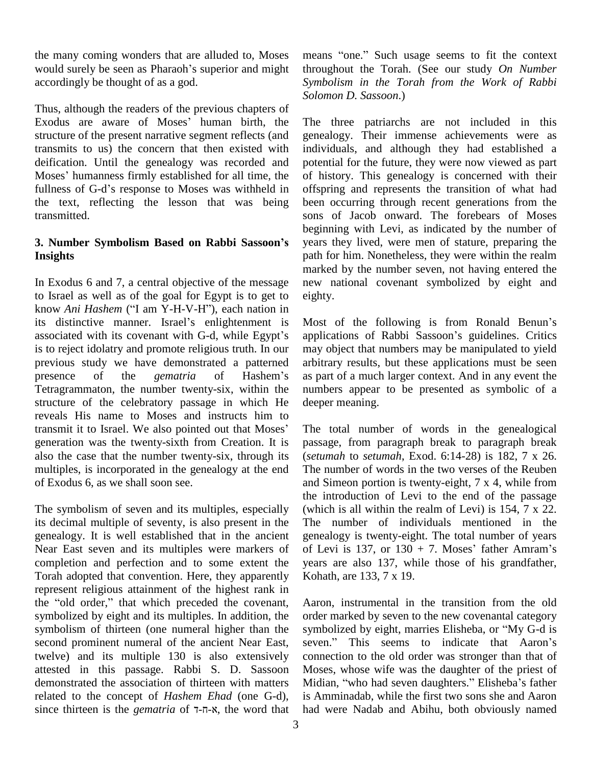the many coming wonders that are alluded to, Moses would surely be seen as Pharaoh's superior and might accordingly be thought of as a god.

Thus, although the readers of the previous chapters of Exodus are aware of Moses' human birth, the structure of the present narrative segment reflects (and transmits to us) the concern that then existed with deification. Until the genealogy was recorded and transmits to us) the concern that then existed with indiv<br>deification. Until the genealogy was recorded and poten<br>Moses' humanness firmly established for all time, the of hi deification. Until the genealogy was recorded and potent<br>Moses' humanness firmly established for all time, the of his<br>fullness of G-d's response to Moses was withheld in offspr the text, reflecting the lesson that was being transmitted.

## **3. Number Symbolism Based on Rabbi Sassoonís Insights**

In Exodus 6 and 7, a central objective of the message to Israel as well as of the goal for Egypt is to get to In Exodus 6 and 7, a central objective of the message new to Israel as well as of the goal for Egypt is to get to eighty know *Ani Hashem* ("I am Y-H-V-H"), each nation in to Israel as well as of the goal for Egypt is to get to eigh<br>know *Ani Hashem* ("I am Y-H-V-H"), each nation in<br>its distinctive manner. Israel's enlightenment is Mos know *Ani Hashem* ("I am Y-H-V-H"), each nation in<br>its distinctive manner. Israel's enlightenment is Mos<br>associated with its covenant with G-d, while Egypt's appl is to reject idolatry and promote religious truth. In our may<br>previous study we have demonstrated a patterned arbit<br>presence of the *gematria* of Hashem's as p previous study we have demonstrated a patterned Tetragrammaton, the number twenty-six, within the structure of the celebratory passage in which He reveals His name to Moses and instructs him to transmit it to Israel. We also pointed out that Moses' generation was the twenty-sixth from Creation. It is also the case that the number twenty-six, through its multiples, is incorporated in the genealogy at the end of Exodus 6, as we shall soon see.<br>The symbolism of seven and its multiples, especially

its decimal multiple of seventy, is also present in the genealogy. It is well established that in the ancient Near East seven and its multiples were markers of of Levi is  $137$ , or  $130 + 7$ . Moses' father Amram's completion and perfection and to some extent the Torah adopted that convention. Here, they apparently represent religious attainment of the highest rank in the "old order," that which preceded the covenant, symbolized by eight and its multiples. In addition, the symbolism of thirteen (one numeral higher than the second prominent numeral of the ancient Near East, seven." This seems to indicate that Aaron's twelve) and its multiple 130 is also extensively attested in this passage. Rabbi S. D. Sassoon demonstrated the association of thirteen with matters Midian, "who had seven daughters." Elisheba's father related to the concept of *Hashem Ehad* (one G-d), since thirteen is the *gematria* of  $\overline{7}$ - $\overline{7}$ - $\overline{8}$ , the word that

means "one." Such usage seems to fit the context throughout the Torah. (See our study *On Number Symbolism in the Torah from the Work of Rabbi Solomon D. Sassoon*.)

The three patriarchs are not included in this genealogy. Their immense achievements were as individuals, and although they had established a potential for the future, they were now viewed as part of history. This genealogy is concerned with their offspring and represents the transition of what had been occurring through recent generations from the sons of Jacob onward. The forebears of Moses beginning with Levi, as indicated by the number of years they lived, were men of stature, preparing the path for him. Nonetheless, they were within the realm marked by the number seven, not having entered the new national covenant symbolized by eight and eighty.

Most of the following is from Ronald Benun's applications of Rabbi Sassoon's guidelines. Critics may object that numbers may be manipulated to yield arbitrary results, but these applications must be seen as part of a much larger context. And in any event the numbers appear to be presented as symbolic of a deeper meaning.

The total number of words in the genealogical passage, from paragraph break to paragraph break (*setumah* to *setumah*, Exod. 6:14-28) is 182, 7 x 26. The number of words in the two verses of the Reuben and Simeon portion is twenty-eight,  $7 \times 4$ , while from the introduction of Levi to the end of the passage (which is all within the realm of Levi) is 154, 7 x 22. The number of individuals mentioned in the genealogy is twenty-eight. The total number of years The number of individuals mentioned in the genealogy is twenty-eight. The total number of years of Levi is  $137$ , or  $130 + 7$ . Moses' father Amram's years are also 137, while those of his grandfather, Kohath, are 133, 7 x 19.

Aaron, instrumental in the transition from the old order marked by seven to the new covenantal category Aaron, instrumental in the transition from the old<br>order marked by seven to the new covenantal category<br>symbolized by eight, marries Elisheba, or "My G-d is order marked by seven to the new covenantal category<br>symbolized by eight, marries Elisheba, or "My G-d is<br>seven." This seems to indicate that Aaron's connection to the old order was stronger than that of Moses, whose wife was the daughter of the priest of connection to the old order was stronger than that of<br>Moses, whose wife was the daughter of the priest of<br>Midian, "who had seven daughters." Elisheba's father is Amminadab, while the first two sons she and Aaron had were Nadab and Abihu, both obviously named